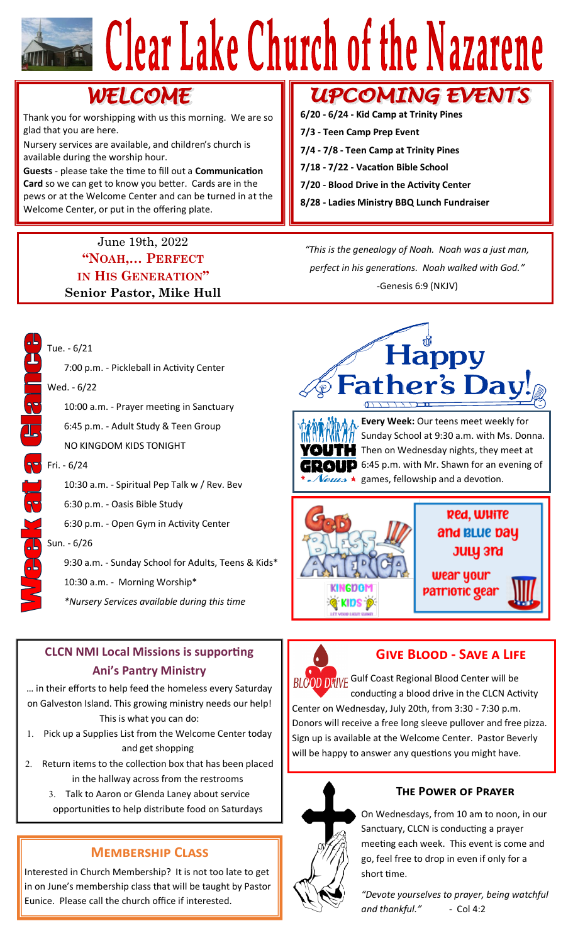# Clear Lake Church of the Nazarene

# **WELCOME**

Thank you for worshipping with us this morning. We are so glad that you are here.

Nursery services are available, and children's church is available during the worship hour.

**Guests** - please take the time to fill out a **Communication Card** so we can get to know you better. Cards are in the pews or at the Welcome Center and can be turned in at the Welcome Center, or put in the offering plate.

## June 19th, 2022 **"NOAH,… PERFECT IN HIS GENERATION" Senior Pastor, Mike Hull**

# **UPCOMING EVENTS**

**6/20 - 6/24 - Kid Camp at Trinity Pines 7/3 - Teen Camp Prep Event 7/4 - 7/8 - Teen Camp at Trinity Pines 7/18 - 7/22 - Vacation Bible School 7/20 - Blood Drive in the Activity Center 8/28 - Ladies Ministry BBQ Lunch Fundraiser**

*"This is the genealogy of Noah. Noah was a just man, perfect in his generations. Noah walked with God."* -Genesis 6:9 (NKJV)



Tue. - 6/21

10:30 a.m. - Spiritual Pep Talk w / Rev. Bev

6:30 p.m. - Oasis Bible Study

6:30 p.m. - Open Gym in Activity Center

9:30 a.m. - Sunday School for Adults, Teens & Kids\*

10:30 a.m. - Morning Worship\*

*\*Nursery Services available during this time*

# **CLCN NMI Local Missions is supporting Ani's Pantry Ministry**

… in their efforts to help feed the homeless every Saturday on Galveston Island. This growing ministry needs our help! This is what you can do:

- 1. Pick up a Supplies List from the Welcome Center today and get shopping
- 2. Return items to the collection box that has been placed in the hallway across from the restrooms
	- Talk to Aaron or Glenda Laney about service opportunities to help distribute food on Saturdays

# **Membership Class**

Interested in Church Membership? It is not too late to get in on June's membership class that will be taught by Pastor Eunice. Please call the church office if interested.





**Every Week:** Our teens meet weekly for Sunday School at 9:30 a.m. with Ms. Donna. Then on Wednesday nights, they meet at **10** 6:45 p.m. with Mr. Shawn for an evening of  $\mathcal{N}$ eus  $\star$  games, fellowship and a devotion.





# **Give Blood - Save a Life**

BLOOD DRIVE Gulf Coast Regional Blood Center will be conducting a blood drive in the CLCN Activity Center on Wednesday, July 20th, from 3:30 - 7:30 p.m. Donors will receive a free long sleeve pullover and free pizza. Sign up is available at the Welcome Center. Pastor Beverly will be happy to answer any questions you might have.



## **The Power of Prayer**

On Wednesdays, from 10 am to noon, in our Sanctuary, CLCN is conducting a prayer meeting each week. This event is come and go, feel free to drop in even if only for a short time.

*"Devote yourselves to prayer, being watchful and thankful."* - Col 4:2